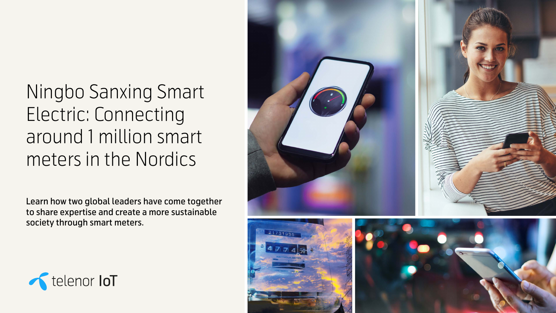Ningbo Sanxing Smart Electric: Connecting around 1 million smart meters in the Nordics

Learn how two global leaders have come together to share expertise and create a more sustainable society through smart meters.







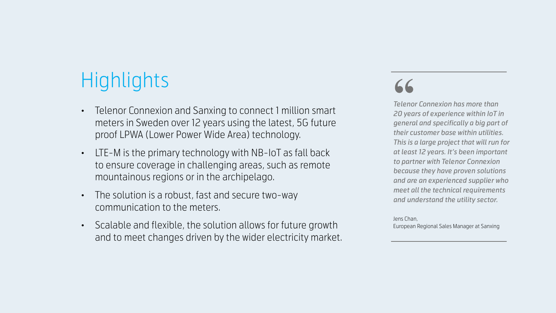# Highlights

- Telenor Connexion and Sanxing to connect 1 million smart meters in Sweden over 12 years using the latest, 5G future proof LPWA (Lower Power Wide Area) technology.
- LTE-M is the primary technology with NB-IoT as fall back to ensure coverage in challenging areas, such as remote mountainous regions or in the archipelago.
- The solution is a robust, fast and secure two-way communication to the meters.
- Scalable and flexible, the solution allows for future growth and to meet changes driven by the wider electricity market.

*Telenor Connexion has more than 20 years of experience within IoT in general and specifically a big part of their customer base within utilities. This is a large project that will run for at least 12 years. It's been important to partner with Telenor Connexion because they have proven solutions and are an experienced supplier who meet all the technical requirements and understand the utility sector.*

Jens Chan, European Regional Sales Manager at Sanxing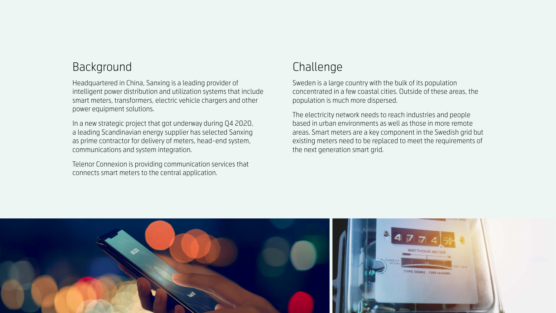### Background

Headquartered in China, Sanxing is a leading provider of intelligent power distribution and utilization systems that include smart meters, transformers, electric vehicle chargers and other power equipment solutions.

In a new strategic project that got underway during Q4 2020, a leading Scandinavian energy supplier has selected Sanxing as prime contractor for delivery of meters, head-end system, communications and system integration.

Telenor Connexion is providing communication services that connects smart meters to the central application.



### Challenge

Sweden is a large country with the bulk of its population concentrated in a few coastal cities. Outside of these areas, the population is much more dispersed.

The electricity network needs to reach industries and people based in urban environments as well as those in more remote areas. Smart meters are a key component in the Swedish grid but existing meters need to be replaced to meet the requirements of the next generation smart grid.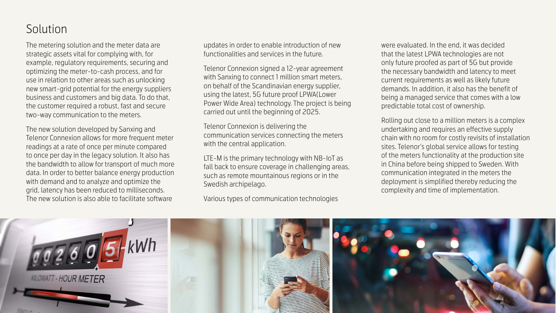## Solution

The metering solution and the meter data are strategic assets vital for complying with, for example, regulatory requirements, securing and optimizing the meter-to-cash process, and for use in relation to other areas such as unlocking new smart-grid potential for the energy suppliers business and customers and big data. To do that, the customer required a robust, fast and secure two-way communication to the meters.

> Telenor Connexion is delivering the communication services connecting the meters with the central application.

The new solution developed by Sanxing and Telenor Connexion allows for more frequent meter readings at a rate of once per minute compared to once per day in the legacy solution. It also has the bandwidth to allow for transport of much more data. In order to better balance energy production with demand and to analyze and optimize the grid, latency has been reduced to milliseconds. The new solution is also able to facilitate software

updates in order to enable introduction of new functionalities and services in the future.

Telenor Connexion signed a 12-year agreement with Sanxing to connect 1 million smart meters, on behalf of the Scandinavian energy supplier, using the latest, 5G future proof LPWA(Lower Power Wide Area) technology. The project is being carried out until the beginning of 2025.

LTE-M is the primary technology with NB-IoT as fall back to ensure coverage in challenging areas, such as remote mountainous regions or in the Swedish archipelago.

Various types of communication technologies



were evaluated. In the end, it was decided that the latest LPWA technologies are not only future proofed as part of 5G but provide the necessary bandwidth and latency to meet current requirements as well as likely future demands. In addition, it also has the benefit of being a managed service that comes with a low predictable total cost of ownership.

Rolling out close to a million meters is a complex undertaking and requires an effective supply chain with no room for costly revisits of installation sites. Telenor's global service allows for testing of the meters functionality at the production site in China before being shipped to Sweden. With communication integrated in the meters the deployment is simplified thereby reducing the complexity and time of implementation.

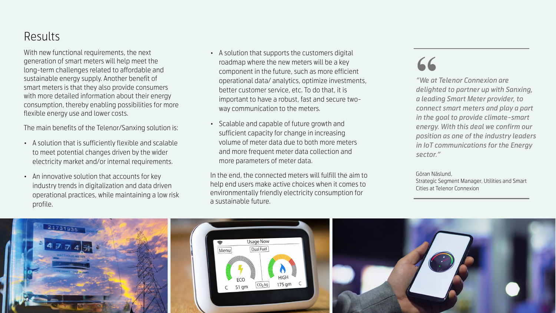## Results

With new functional requirements, the next generation of smart meters will help meet the long-term challenges related to affordable and sustainable energy supply. Another benefit of smart meters is that they also provide consumers with more detailed information about their energy consumption, thereby enabling possibilities for more flexible energy use and lower costs.

The main benefits of the Telenor/Sanxing solution is:

- A solution that is sufficiently flexible and scalable to meet potential changes driven by the wider electricity market and/or internal requirements.
- An innovative solution that accounts for key industry trends in digitalization and data driven operational practices, while maintaining a low risk profile.
- 
- 

• A solution that supports the customers digital roadmap where the new meters will be a key component in the future, such as more efficient operational data/ analytics, optimize investments, better customer service, etc. To do that, it is important to have a robust, fast and secure twoway communication to the meters.

• Scalable and capable of future growth and sufficient capacity for change in increasing volume of meter data due to both more meters and more frequent meter data collection and more parameters of meter data.

In the end, the connected meters will fulfill the aim to help end users make active choices when it comes to environmentally friendly electricity consumption for a sustainable future.



*"We at Telenor Connexion are delighted to partner up with Sanxing, a leading Smart Meter provider, to connect smart meters and play a part in the goal to provide climate-smart energy. With this deal we confirm our position as one of the industry leaders in IoT communications for the Energy sector."*

Göran Näslund,

Strategic Segment Manager, Utilities and Smart Cities at Telenor Connexion